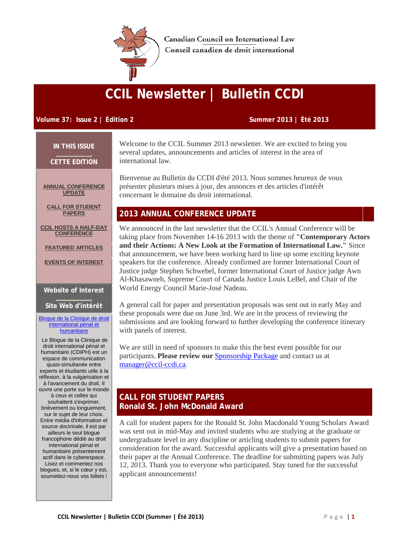

Canadian Council on International Law Conseil canadien de droit international

# **CCIL Newsletter | Bulletin CCDI**

## **Volume 37: Issue 2 | Édition 2 Summer 2013 | Été 2013**

**IN THIS ISSUE**

**CETTE EDITION**

**[ANNUAL CONFERENCE](http://campaign.r20.constantcontact.com/render?llr=kskrrzdab&v=001aTnFgKol9s4fGhc_IxTPOVV90KTvdWzsRxRi4R_mF9kzGRQ9-LwM6vSHGAc0yYpsFjCST2PplOZdfUof-_k20wXpRVUN37fY9NrF43V5yGuTU3t0yO-n-fdPcR2clZvY2tqeH3tYiuy4FX9RNfc0HMK-YrA2BxTkgzTDI-vhUnOBXbjmrO_Z9trflQjWggvtZmHNVbJyOtNj75opjmpXpkwgAXeWyH7MA4-J6IGd6MRustg1-p6s8P-uIgMsOB9W5ue8WtjY25USJKGDxcC1b0Sp3T9om-S1uitgtnOE718itt642SjemgwdVLhoIgPD-viGu4VWVUTZb2TeZsW2LMvr-2cOM_CQbqDneV_-BR3iMlnnIeHnMMMEaVo0WrO3HiKpeg4P_-J2AXoSXHW25iNLFzVEXS3XPQAVKmv3nLg%3D&id=preview#LETTER.BLOCK13)  [UPDATE](http://campaign.r20.constantcontact.com/render?llr=kskrrzdab&v=001aTnFgKol9s4fGhc_IxTPOVV90KTvdWzsRxRi4R_mF9kzGRQ9-LwM6vSHGAc0yYpsFjCST2PplOZdfUof-_k20wXpRVUN37fY9NrF43V5yGuTU3t0yO-n-fdPcR2clZvY2tqeH3tYiuy4FX9RNfc0HMK-YrA2BxTkgzTDI-vhUnOBXbjmrO_Z9trflQjWggvtZmHNVbJyOtNj75opjmpXpkwgAXeWyH7MA4-J6IGd6MRustg1-p6s8P-uIgMsOB9W5ue8WtjY25USJKGDxcC1b0Sp3T9om-S1uitgtnOE718itt642SjemgwdVLhoIgPD-viGu4VWVUTZb2TeZsW2LMvr-2cOM_CQbqDneV_-BR3iMlnnIeHnMMMEaVo0WrO3HiKpeg4P_-J2AXoSXHW25iNLFzVEXS3XPQAVKmv3nLg%3D&id=preview#LETTER.BLOCK13)**

**CALL FOR STUDENT [PAPERS](http://campaign.r20.constantcontact.com/render?llr=kskrrzdab&v=001aTnFgKol9s4fGhc_IxTPOVV90KTvdWzsRxRi4R_mF9kzGRQ9-LwM6vSHGAc0yYpsFjCST2PplOZdfUof-_k20wXpRVUN37fY9NrF43V5yGuTU3t0yO-n-fdPcR2clZvY2tqeH3tYiuy4FX9RNfc0HMK-YrA2BxTkgzTDI-vhUnOBXbjmrO_Z9trflQjWggvtZmHNVbJyOtNj75opjmpXpkwgAXeWyH7MA4-J6IGd6MRustg1-p6s8P-uIgMsOB9W5ue8WtjY25USJKGDxcC1b0Sp3T9om-S1uitgtnOE718itt642SjemgwdVLhoIgPD-viGu4VWVUTZb2TeZsW2LMvr-2cOM_CQbqDneV_-BR3iMlnnIeHnMMMEaVo0WrO3HiKpeg4P_-J2AXoSXHW25iNLFzVEXS3XPQAVKmv3nLg%3D&id=preview#LETTER.BLOCK14)**

**[CCIL HOSTS A HALF-DAY](http://campaign.r20.constantcontact.com/render?llr=kskrrzdab&v=001aTnFgKol9s4fGhc_IxTPOVV90KTvdWzsRxRi4R_mF9kzGRQ9-LwM6vSHGAc0yYpsFjCST2PplOZdfUof-_k20wXpRVUN37fY9NrF43V5yGuTU3t0yO-n-fdPcR2clZvY2tqeH3tYiuy4FX9RNfc0HMK-YrA2BxTkgzTDI-vhUnOBXbjmrO_Z9trflQjWggvtZmHNVbJyOtNj75opjmpXpkwgAXeWyH7MA4-J6IGd6MRustg1-p6s8P-uIgMsOB9W5ue8WtjY25USJKGDxcC1b0Sp3T9om-S1uitgtnOE718itt642SjemgwdVLhoIgPD-viGu4VWVUTZb2TeZsW2LMvr-2cOM_CQbqDneV_-BR3iMlnnIeHnMMMEaVo0WrO3HiKpeg4P_-J2AXoSXHW25iNLFzVEXS3XPQAVKmv3nLg%3D&id=preview#LETTER.BLOCK15)  [CONFERENCE](http://campaign.r20.constantcontact.com/render?llr=kskrrzdab&v=001aTnFgKol9s4fGhc_IxTPOVV90KTvdWzsRxRi4R_mF9kzGRQ9-LwM6vSHGAc0yYpsFjCST2PplOZdfUof-_k20wXpRVUN37fY9NrF43V5yGuTU3t0yO-n-fdPcR2clZvY2tqeH3tYiuy4FX9RNfc0HMK-YrA2BxTkgzTDI-vhUnOBXbjmrO_Z9trflQjWggvtZmHNVbJyOtNj75opjmpXpkwgAXeWyH7MA4-J6IGd6MRustg1-p6s8P-uIgMsOB9W5ue8WtjY25USJKGDxcC1b0Sp3T9om-S1uitgtnOE718itt642SjemgwdVLhoIgPD-viGu4VWVUTZb2TeZsW2LMvr-2cOM_CQbqDneV_-BR3iMlnnIeHnMMMEaVo0WrO3HiKpeg4P_-J2AXoSXHW25iNLFzVEXS3XPQAVKmv3nLg%3D&id=preview#LETTER.BLOCK15)**

**[FEATURED ARTICLES](http://campaign.r20.constantcontact.com/render?llr=kskrrzdab&v=001aTnFgKol9s4fGhc_IxTPOVV90KTvdWzsRxRi4R_mF9kzGRQ9-LwM6vSHGAc0yYpsFjCST2PplOZdfUof-_k20wXpRVUN37fY9NrF43V5yGuTU3t0yO-n-fdPcR2clZvY2tqeH3tYiuy4FX9RNfc0HMK-YrA2BxTkgzTDI-vhUnOBXbjmrO_Z9trflQjWggvtZmHNVbJyOtNj75opjmpXpkwgAXeWyH7MA4-J6IGd6MRustg1-p6s8P-uIgMsOB9W5ue8WtjY25USJKGDxcC1b0Sp3T9om-S1uitgtnOE718itt642SjemgwdVLhoIgPD-viGu4VWVUTZb2TeZsW2LMvr-2cOM_CQbqDneV_-BR3iMlnnIeHnMMMEaVo0WrO3HiKpeg4P_-J2AXoSXHW25iNLFzVEXS3XPQAVKmv3nLg%3D&id=preview#LETTER.BLOCK16)**

**[EVENTS OF INTEREST](http://campaign.r20.constantcontact.com/render?llr=kskrrzdab&v=001aTnFgKol9s4fGhc_IxTPOVV90KTvdWzsRxRi4R_mF9kzGRQ9-LwM6vSHGAc0yYpsFjCST2PplOZdfUof-_k20wXpRVUN37fY9NrF43V5yGuTU3t0yO-n-fdPcR2clZvY2tqeH3tYiuy4FX9RNfc0HMK-YrA2BxTkgzTDI-vhUnOBXbjmrO_Z9trflQjWggvtZmHNVbJyOtNj75opjmpXpkwgAXeWyH7MA4-J6IGd6MRustg1-p6s8P-uIgMsOB9W5ue8WtjY25USJKGDxcC1b0Sp3T9om-S1uitgtnOE718itt642SjemgwdVLhoIgPD-viGu4VWVUTZb2TeZsW2LMvr-2cOM_CQbqDneV_-BR3iMlnnIeHnMMMEaVo0WrO3HiKpeg4P_-J2AXoSXHW25iNLFzVEXS3XPQAVKmv3nLg%3D&id=preview#LETTER.BLOCK17)**

#### **Website of Interest**

#### **Site Web d'intérêt**

#### [Blogue de la Clinique de droit](http://r20.rs6.net/tn.jsp?e=001IyU28zQDBDH3riWHGA-Ksrx5HO3fQZBdCe8tYxlhJcEyEdHNeqanpGO-cAIGAniqc3c8SXmGViHMf3WPN2fcDPlZUZM9fhtmsK2EC5Z86j2Uh5k1-o2walAp-EIT-uly)  [international pénal et](http://r20.rs6.net/tn.jsp?e=001IyU28zQDBDH3riWHGA-Ksrx5HO3fQZBdCe8tYxlhJcEyEdHNeqanpGO-cAIGAniqc3c8SXmGViHMf3WPN2fcDPlZUZM9fhtmsK2EC5Z86j2Uh5k1-o2walAp-EIT-uly)  [humanitaire](http://r20.rs6.net/tn.jsp?e=001IyU28zQDBDH3riWHGA-Ksrx5HO3fQZBdCe8tYxlhJcEyEdHNeqanpGO-cAIGAniqc3c8SXmGViHMf3WPN2fcDPlZUZM9fhtmsK2EC5Z86j2Uh5k1-o2walAp-EIT-uly)

Le Blogue de la Clinique de droit international pénal et humanitaire (CDIPH) est un espace de communication quasi-simultanée entre experts et étudiants utile à la réflexion, à la vulgarisation et à l'avancement du droit. Il ouvre une porte sur le monde à ceux et celles qui souhaitent s'exprimer, brièvement ou longuement, sur le sujet de leur choix. Entre média d'information et source doctrinale, il est par ailleurs le seul blogue francophone dédié au droit international pénal et humanitaire présentement actif dans le cyberespace. Lisez et commentez nos blogues, et, si le cœur y est, soumettez-nous vos billets !

Welcome to the CCIL Summer 2013 newsletter. We are excited to bring you several updates, announcements and articles of interest in the area of international law.

Bienvenue au Bulletin du CCDI d'été 2013. Nous sommes heureux de vous présenter plusieurs mises à jour, des annonces et des articles d'intérêt concernant le domaine du droit international.

# **2013 ANNUAL CONFERENCE UPDATE**

We announced in the last newsletter that the CCIL's Annual Conference will be taking place from November 14-16 2013 with the theme of **"Contemporary Actors and their Actions: A New Look at the Formation of International Law."** Since that announcement, we have been working hard to line up some exciting keynote speakers for the conference. Already confirmed are former International Court of Justice judge Stephen Schwebel, former International Court of Justice judge Awn Al-Khasawneh, Supreme Court of Canada Justice Louis LeBel, and Chair of the World Energy Council Marie-José Nadeau.

A general call for paper and presentation proposals was sent out in early May and these proposals were due on June 3rd. We are in the process of reviewing the submissions and are looking forward to further developing the conference itinerary with panels of interest.

We are still in need of sponsors to make this the best event possible for our participants. **Please review our** [Sponsorship Package](http://r20.rs6.net/tn.jsp?e=001IyU28zQDBDHfEshDbFke9JTe-Y00jBFjmcikLs0CFBhlU9bgoa6n0R7gCz9pGz06MxyxqoyopbUxCb7untY-pUQqCawWvfOxrTw-bfuly0FBL3gRpj9hl5HBEcQ9fEOFW4ZSNDstPKmep-_ehpmqMbOLIcD9uCNiyCttYTGlzpI=) and contact us at [manager@ccil-ccdi.ca.](mailto:manager@ccil-ccdi.ca)

# **CALL FOR STUDENT PAPERS Ronald St. John McDonald Award**

A call for student papers for the Ronald St. John Macdonald Young Scholars Award was sent out in mid-May and invited students who are studying at the graduate or undergraduate level in any discipline or articling students to submit papers for consideration for the award. Successful applicants will give a presentation based on their paper at the Annual Conference. The deadline for submitting papers was July 12, 2013. Thank you to everyone who participated. Stay tuned for the successful applicant announcements!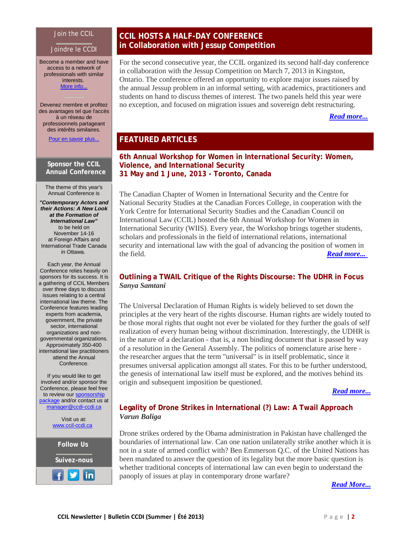#### Join the CCIL

#### Joindre le CCDI

Become a member and have access to a network of professionals with similar interests. More [info...](http://r20.rs6.net/tn.jsp?e=001IyU28zQDBDHv68YxwbTAM9MHXgEtXzzdKnhMVmDG-WwiXcnEWGzoJUuwmo7MW4CkULvpzw6X5rIKv941pyhXWaP_lFOIbuHz0ENIqvXbVAOPYxYkhrIOyFyMaEiQ3Kyb2cp4EJE0UWYjvgCZIV3jLA==)

Devenez membre et profitez des avantages tel que l'accès à un réseau de professionnels partageant des intérêts similaires.

[Pour en savoir plus...](http://r20.rs6.net/tn.jsp?e=001IyU28zQDBDE-1szbPswb9oIeUWT8LQVSOCuLyD2fkydh-nRjEs4t9jB4qp9iOwGPxSLzBBaX0PCaPyPqph5q0_NEsN7DiN5CyXua9HQZUcQH6rRhVXLxWImkNT_oD43ByMWabZAzd1fC8XAMqU3wWQ==)

#### **Sponsor the CCIL Annual Conference**

The theme of this year's Annual Conference is

*"Contemporary Actors and their Actions: A New Look at the Formation of International Law"* to be held on November 14-16 at Foreign Affairs and International Trade Canada in Ottawa.

Each year, the Annual Conference relies heavily on sponsors for its success. It is a gathering of CCIL Members over three days to discuss issues relating to a central international law theme. The Conference features leading experts from academia, government, the private sector, international organizations and nongovernmental organizations. Approximately 350-400 international law practitioners attend the Annual Conference.

If you would like to get involved and/or sponsor the Conference, please feel free to review our [sponsorship](http://r20.rs6.net/tn.jsp?e=001IyU28zQDBDHgekTgNKZcvosm8GTSYXZO41625GiDpk147KYC_SZtooTKgvkdOjWQQlkNkHu6B7dNvj0OOdTP2pG-r_z0GP0zd-x3lPud3MMK8fobQ0I5Gpauu3QkZD4_lrpNYnEMqsmv7wB6bGNwSI7kFHZ9TxcL)  [package](http://r20.rs6.net/tn.jsp?e=001IyU28zQDBDHgekTgNKZcvosm8GTSYXZO41625GiDpk147KYC_SZtooTKgvkdOjWQQlkNkHu6B7dNvj0OOdTP2pG-r_z0GP0zd-x3lPud3MMK8fobQ0I5Gpauu3QkZD4_lrpNYnEMqsmv7wB6bGNwSI7kFHZ9TxcL) and/or contact us at [manager@ccdi-ccdi.ca](mailto:manager@ccdi-ccdi.ca)

> Visit us at: [www.ccil-ccdi.ca](http://r20.rs6.net/tn.jsp?e=001IyU28zQDBDErdDT414DeC5QAwCB0hRw8__UsiMQqFSsAz_YpljighJ5Zt37kaTZraxSEb9CQesYPjFNYEmyrMuyxizfX2wg8ysmLSKCScfaxnuFtYwtBzA==)

**Follow Us Suivez-nous**

lin

I

# **CCIL HOSTS A HALF-DAY CONFERENCE in Collaboration with Jessup Competition**

For the second consecutive year, the CCIL organized its second half-day conference in collaboration with the Jessup Competition on March 7, 2013 in Kingston, Ontario. The conference offered an opportunity to explore major issues raised by the annual Jessup problem in an informal setting, with academics, practitioners and students on hand to discuss themes of interest. The two panels held this year were no exception, and focused on migration issues and sovereign debt restructuring.

# *[Read more...](http://r20.rs6.net/tn.jsp?e=001IyU28zQDBDHcI2BThUZzfXuVVRIDw0UYd6pH1ghb5M0xL0vpuGRWZNDLKlHOKg3EgDlSMLoviFvtkvuGf6fxvHU9WGDOBA5DpJ_HN3v38tj9p2VIm-pox8slF5GopRoAhKwrGNOztR6n_DjruL_zKwRsipwyRn1IDl749tJf1WUp13fTEef_VGjumEajZrDldO4kVOr9szA=)*

# **FEATURED ARTICLES**

## **6th Annual Workshop for Women in International Security: Women, Violence, and International Security 31 May and 1 June, 2013 - Toronto, Canada**

The Canadian Chapter of Women in International Security and the Centre for National Security Studies at the Canadian Forces College, in cooperation with the York Centre for International Security Studies and the Canadian Council on International Law (CCIL) hosted the 6th Annual Workshop for Women in International Security (WIIS). Every year, the Workshop brings together students, scholars and professionals in the field of international relations, international security and international law with the goal of advancing the position of women in the field. *[Read more...](http://r20.rs6.net/tn.jsp?e=001IyU28zQDBDHxNxovMyLuqXrOm5t8wMM1XWRmPIHtdb15QbqGJCVMv4_B_SlpPKmMQkyfjQ0SoHtJxeKGGz1p52NXNenLSEfVMaCRxfBGC878orKGJrG9XxF_n1k_5z-cnSN4ZH0wfiXYDUmedoSmisxKg8-1b9COxpFzYpadGRlQLS0RorrevRwlg9z-eQy-20ZUR5Gel58=)*

# **Outlining a TWAIL Critique of the Rights Discourse: The UDHR in Focus** *Sanya Samtani*

The Universal Declaration of Human Rights is widely believed to set down the principles at the very heart of the rights discourse. Human rights are widely touted to be those moral rights that ought not ever be violated for they further the goals of self realization of every human being without discrimination. Interestingly, the UDHR is in the nature of a declaration - that is, a non binding document that is passed by way of a resolution in the General Assembly. The politics of nomenclature arise here the researcher argues that the term "universal" is in itself problematic, since it presumes universal application amongst all states. For this to be further understood, the genesis of international law itself must be explored, and the motives behind its origin and subsequent imposition be questioned.

*[Read more...](http://r20.rs6.net/tn.jsp?e=001IyU28zQDBDExHIVl40tDvznkfloTCWZkG9xUwrFn6UL-FOjGaFJwxW81zDFdondOPXkk76JkBfkxYOaq-GADENeDqChMAu058Dugh-eb9tOk4tvBMLiRviSm5O0xv46Cahx0gxVGCGjzkidQeknyTkqDNcNyEvWeOuku2dWO6hkPbw6BjUxTJ3QImfofmTV5hYyhVoLzprA=)*

# **Legality of Drone Strikes in International (?) Law: A Twail Approach** *Varun Baliga*

Drone strikes ordered by the Obama administration in Pakistan have challenged the boundaries of international law. Can one nation unilaterally strike another which it is not in a state of armed conflict with? Ben Emmerson Q.C. of the United Nations has been mandated to answer the question of its legality but the more basic question is whether traditional concepts of international law can even begin to understand the panoply of issues at play in contemporary drone warfare?

*[Read More...](http://r20.rs6.net/tn.jsp?e=001IyU28zQDBDFGoCC_96-UCLJuNVBXGfNC08Z0aN1hJyRzJa0v-Hs1-JfWUvZyYcMNLjEX-OsUQlNNNfGf1fggpOe5niBScwiACIx-Gi5apgJvI2fDokszRND9_FW_L8zdGzXaiwpYIRcziXPFYNGaS0FrcddoZl2rXFUfp-t9XzaTz1WYypZ_NWJzBms9AvF9BNNh14DyHX8=)*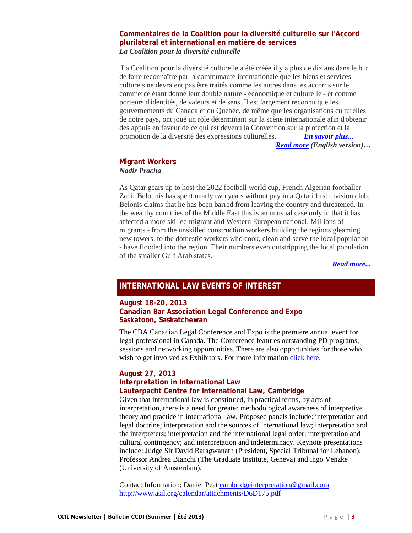## **Commentaires de la Coalition pour la diversité culturelle sur l'Accord plurilatéral et international en matière de services** *La Coalition pour la diversité culturelle*

La Coalition pour la diversité culturelle a été créée il y a plus de dix ans dans le but de faire reconnaître par la communauté internationale que les biens et services culturels ne devraient pas être traités comme les autres dans les accords sur le commerce étant donné leur double nature - économique et culturelle - et comme porteurs d'identités, de valeurs et de sens. Il est largement reconnu que les gouvernements du Canada et du Québec, de même que les organisations culturelles de notre pays, ont joué un rôle déterminant sur la scène internationale afin d'obtenir des appuis en faveur de ce qui est devenu la Convention sur la protection et la promotion de la diversité des expressions culturelles. *[En savoir plus...](http://r20.rs6.net/tn.jsp?e=001IyU28zQDBDGA4b4CBfLvibciWR64YadxLcFEhpgaa3Devbnks45gdnwk2Ba6R6cGcti0DeKDxc0IP4pZzMzu2wpPaL1IbcreRjgNBA0epAc5G5bZfT_7d0ZzSDUMTUEJQbzp4jNcF45vbL6fFCYwHrPKlb_fpIO47_eLERxNehbMPV8LI3aNyahkCOukVQhGWMlmNQ5bXkI=) Read more (English version)…*

## **Migrant Workers**

*Nadir Pracha*

As Qatar gears up to host the 2022 football world cup, French Algerian footballer Zahir Belounis has spent nearly two years without pay in a Qatari first division club. Belonis claims that he has been barred from leaving the country and threatened. In the wealthy countries of the Middle East this is an unusual case only in that it has affected a more skilled migrant and Western European national. Millions of migrants - from the unskilled construction workers building the regions gleaming new towers, to the domestic workers who cook, clean and serve the local population - have flooded into the region. Their numbers even outstripping the local population of the smaller Gulf Arab states.

*[Read more...](http://r20.rs6.net/tn.jsp?e=001IyU28zQDBDH13OE1pxBwX-8YpNDIzmgIawd0MEMwi8e6bI5h1hpTz9QkutdYOUFy5_RSuO0ndAjlZHg1JkVlstIvT-KA_ZTnyzhgpwaC8-ooz4gTxPxYpJCp0CKZKVhjtS4Mw0q9jdsj2a_05wMb6jv31CKpNbWE8BqmBaiGm7mpxg3JbOqEEsLHweaAaBBISWpAvqujXPs=)*

# **INTERNATIONAL LAW EVENTS OF INTEREST**

#### **August 18-20, 2013 Canadian Bar Association Legal Conference and Expo Saskatoon, Saskatchewan**

The CBA Canadian Legal Conference and Expo is the premiere annual event for legal professional in Canada. The Conference features outstanding PD programs, sessions and networking opportunities. There are also opportunities for those who wish to get involved as Exhibitors. For more information [click here.](http://r20.rs6.net/tn.jsp?e=001IyU28zQDBDHvynrLbRlrMqJRxDh523Jj-sdfbPcUhrtb6Kk2Tas-VJ6zFwmnF8R3jGavBYmM2NIQYqjlcYsQcu0FXSMmLvO5pyRzKa0uM_cEMxFAkIi8-LZgbmW7NOr3RvZ3VE045nzLAupZsS_BXA==)

# **August 27, 2013**

## **Interpretation in International Law Lauterpacht Centre for International Law, Cambridge**

Given that international law is constituted, in practical terms, by acts of interpretation, there is a need for greater methodological awareness of interpretive theory and practice in international law. Proposed panels include: interpretation and legal doctrine; interpretation and the sources of international law; interpretation and the interpreters; interpretation and the international legal order; interpretation and cultural contingency; and interpretation and indeterminacy. Keynote presentations include: Judge Sir David Baragwanath (President, Special Tribunal for Lebanon); Professor Andrea Bianchi (The Graduate Institute, Geneva) and Ingo Venzke (University of Amsterdam).

Contact Information: Daniel Peat [cambridgeinterpretation@gmail.com](mailto:cambridgeinterpretation@gmail.com) [http://www.asil.org/calendar/attachments/D6D175.pdf](http://r20.rs6.net/tn.jsp?e=001IyU28zQDBDGb7Bq_zelPqy7tYkYrST8456MwUB0xbTVbSETLM7y6kyexlbEWzcSUjr3DS9uVWhkB_NdYctyJTy0HEHCl4Mxrtrg4dgQM2_ncvlkjAR-XHt1piGSmVLibDAmXjYyOrp85wYEztrW5df48ErmY7gKW)